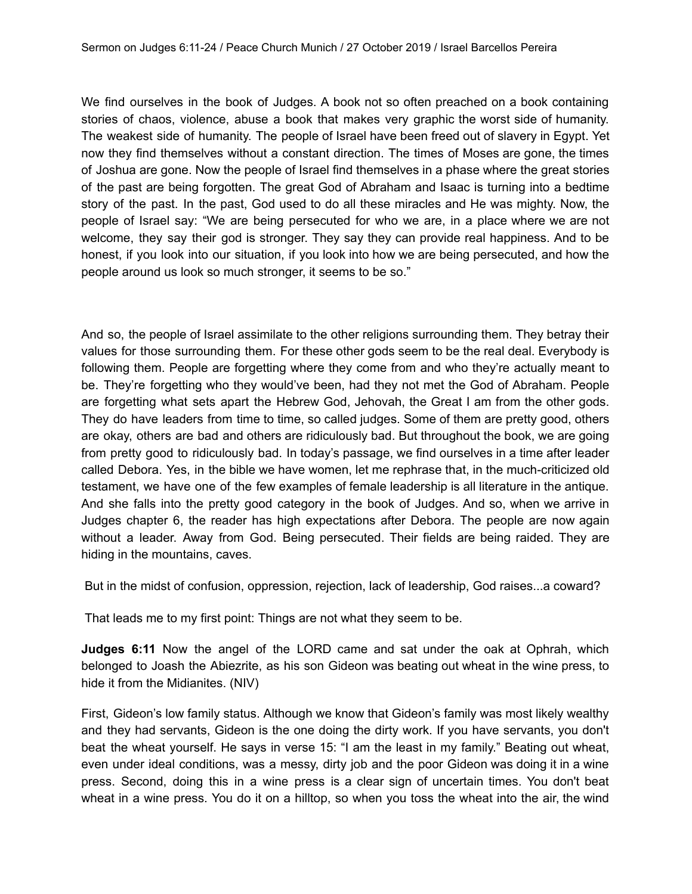We find ourselves in the book of Judges. A book not so often preached on a book containing stories of chaos, violence, abuse a book that makes very graphic the worst side of humanity. The weakest side of humanity. The people of Israel have been freed out of slavery in Egypt. Yet now they find themselves without a constant direction. The times of Moses are gone, the times of Joshua are gone. Now the people of Israel find themselves in a phase where the great stories of the past are being forgotten. The great God of Abraham and Isaac is turning into a bedtime story of the past. In the past, God used to do all these miracles and He was mighty. Now, the people of Israel say: "We are being persecuted for who we are, in a place where we are not welcome, they say their god is stronger. They say they can provide real happiness. And to be honest, if you look into our situation, if you look into how we are being persecuted, and how the people around us look so much stronger, it seems to be so."

And so, the people of Israel assimilate to the other religions surrounding them. They betray their values for those surrounding them. For these other gods seem to be the real deal. Everybody is following them. People are forgetting where they come from and who they're actually meant to be. They're forgetting who they would've been, had they not met the God of Abraham. People are forgetting what sets apart the Hebrew God, Jehovah, the Great I am from the other gods. They do have leaders from time to time, so called judges. Some of them are pretty good, others are okay, others are bad and others are ridiculously bad. But throughout the book, we are going from pretty good to ridiculously bad. In today's passage, we find ourselves in a time after leader called Debora. Yes, in the bible we have women, let me rephrase that, in the much-criticized old testament, we have one of the few examples of female leadership is all literature in the antique. And she falls into the pretty good category in the book of Judges. And so, when we arrive in Judges chapter 6, the reader has high expectations after Debora. The people are now again without a leader. Away from God. Being persecuted. Their fields are being raided. They are hiding in the mountains, caves.

But in the midst of confusion, oppression, rejection, lack of leadership, God raises...a coward?

That leads me to my first point: Things are not what they seem to be.

**Judges 6:11** Now the angel of the LORD came and sat under the oak at Ophrah, which belonged to Joash the Abiezrite, as his son Gideon was beating out wheat in the wine press, to hide it from the Midianites. (NIV)

First, Gideon's low family status. Although we know that Gideon's family was most likely wealthy and they had servants, Gideon is the one doing the dirty work. If you have servants, you don't beat the wheat yourself. He says in verse 15: "I am the least in my family." Beating out wheat, even under ideal conditions, was a messy, dirty job and the poor Gideon was doing it in a wine press. Second, doing this in a wine press is a clear sign of uncertain times. You don't beat wheat in a wine press. You do it on a hilltop, so when you toss the wheat into the air, the wind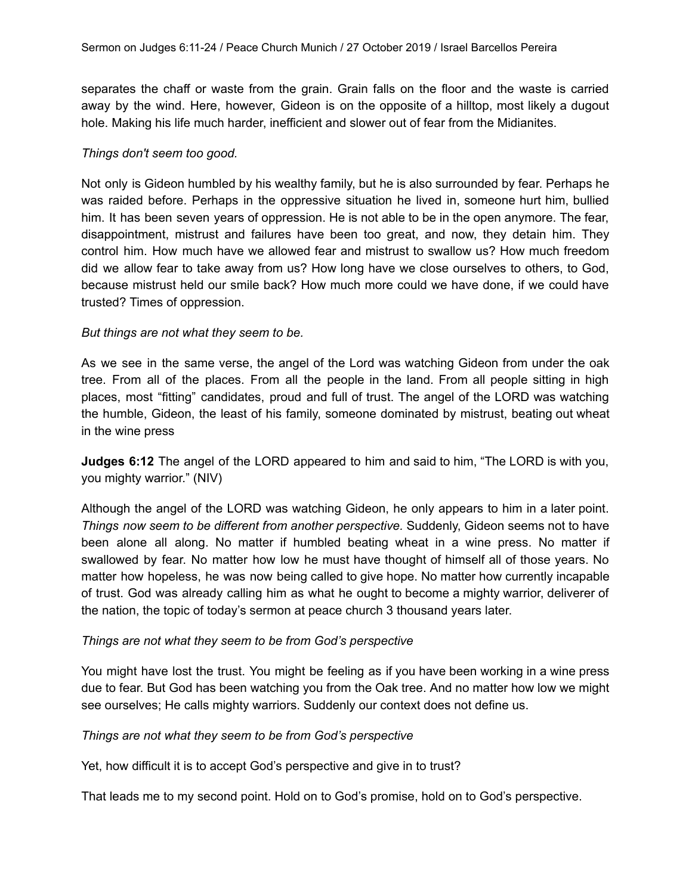separates the chaff or waste from the grain. Grain falls on the floor and the waste is carried away by the wind. Here, however, Gideon is on the opposite of a hilltop, most likely a dugout hole. Making his life much harder, inefficient and slower out of fear from the Midianites.

## *Things don't seem too good.*

Not only is Gideon humbled by his wealthy family, but he is also surrounded by fear. Perhaps he was raided before. Perhaps in the oppressive situation he lived in, someone hurt him, bullied him. It has been seven years of oppression. He is not able to be in the open anymore. The fear, disappointment, mistrust and failures have been too great, and now, they detain him. They control him. How much have we allowed fear and mistrust to swallow us? How much freedom did we allow fear to take away from us? How long have we close ourselves to others, to God, because mistrust held our smile back? How much more could we have done, if we could have trusted? Times of oppression.

### *But things are not what they seem to be.*

As we see in the same verse, the angel of the Lord was watching Gideon from under the oak tree. From all of the places. From all the people in the land. From all people sitting in high places, most "fitting" candidates, proud and full of trust. The angel of the LORD was watching the humble, Gideon, the least of his family, someone dominated by mistrust, beating out wheat in the wine press

**Judges 6:12** The angel of the LORD appeared to him and said to him, "The LORD is with you, you mighty warrior." (NIV)

Although the angel of the LORD was watching Gideon, he only appears to him in a later point. *Things now seem to be different from another perspective.* Suddenly, Gideon seems not to have been alone all along. No matter if humbled beating wheat in a wine press. No matter if swallowed by fear. No matter how low he must have thought of himself all of those years. No matter how hopeless, he was now being called to give hope. No matter how currently incapable of trust. God was already calling him as what he ought to become a mighty warrior, deliverer of the nation, the topic of today's sermon at peace church 3 thousand years later.

#### *Things are not what they seem to be from God's perspective*

You might have lost the trust. You might be feeling as if you have been working in a wine press due to fear. But God has been watching you from the Oak tree. And no matter how low we might see ourselves; He calls mighty warriors. Suddenly our context does not define us.

#### *Things are not what they seem to be from God's perspective*

Yet, how difficult it is to accept God's perspective and give in to trust?

That leads me to my second point. Hold on to God's promise, hold on to God's perspective.